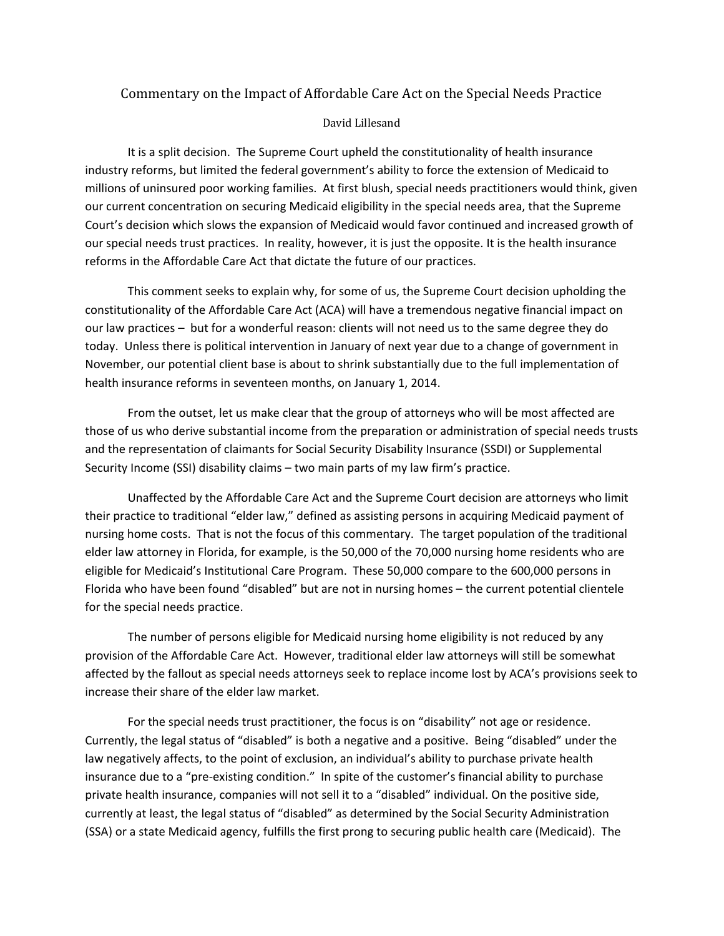# Commentary on the Impact of Affordable Care Act on the Special Needs Practice

## David Lillesand

It is a split decision. The Supreme Court upheld the constitutionality of health insurance industry reforms, but limited the federal government's ability to force the extension of Medicaid to millions of uninsured poor working families. At first blush, special needs practitioners would think, given our current concentration on securing Medicaid eligibility in the special needs area, that the Supreme Court's decision which slows the expansion of Medicaid would favor continued and increased growth of our special needs trust practices. In reality, however, it is just the opposite. It is the health insurance reforms in the Affordable Care Act that dictate the future of our practices.

This comment seeks to explain why, for some of us, the Supreme Court decision upholding the constitutionality of the Affordable Care Act (ACA) will have a tremendous negative financial impact on our law practices – but for a wonderful reason: clients will not need us to the same degree they do today. Unless there is political intervention in January of next year due to a change of government in November, our potential client base is about to shrink substantially due to the full implementation of health insurance reforms in seventeen months, on January 1, 2014.

From the outset, let us make clear that the group of attorneys who will be most affected are those of us who derive substantial income from the preparation or administration of special needs trusts and the representation of claimants for Social Security Disability Insurance (SSDI) or Supplemental Security Income (SSI) disability claims – two main parts of my law firm's practice.

Unaffected by the Affordable Care Act and the Supreme Court decision are attorneys who limit their practice to traditional "elder law," defined as assisting persons in acquiring Medicaid payment of nursing home costs. That is not the focus of this commentary. The target population of the traditional elder law attorney in Florida, for example, is the 50,000 of the 70,000 nursing home residents who are eligible for Medicaid's Institutional Care Program. These 50,000 compare to the 600,000 persons in Florida who have been found "disabled" but are not in nursing homes – the current potential clientele for the special needs practice.

The number of persons eligible for Medicaid nursing home eligibility is not reduced by any provision of the Affordable Care Act. However, traditional elder law attorneys will still be somewhat affected by the fallout as special needs attorneys seek to replace income lost by ACA's provisions seek to increase their share of the elder law market.

For the special needs trust practitioner, the focus is on "disability" not age or residence. Currently, the legal status of "disabled" is both a negative and a positive. Being "disabled" under the law negatively affects, to the point of exclusion, an individual's ability to purchase private health insurance due to a "pre‐existing condition." In spite of the customer's financial ability to purchase private health insurance, companies will not sell it to a "disabled" individual. On the positive side, currently at least, the legal status of "disabled" as determined by the Social Security Administration (SSA) or a state Medicaid agency, fulfills the first prong to securing public health care (Medicaid). The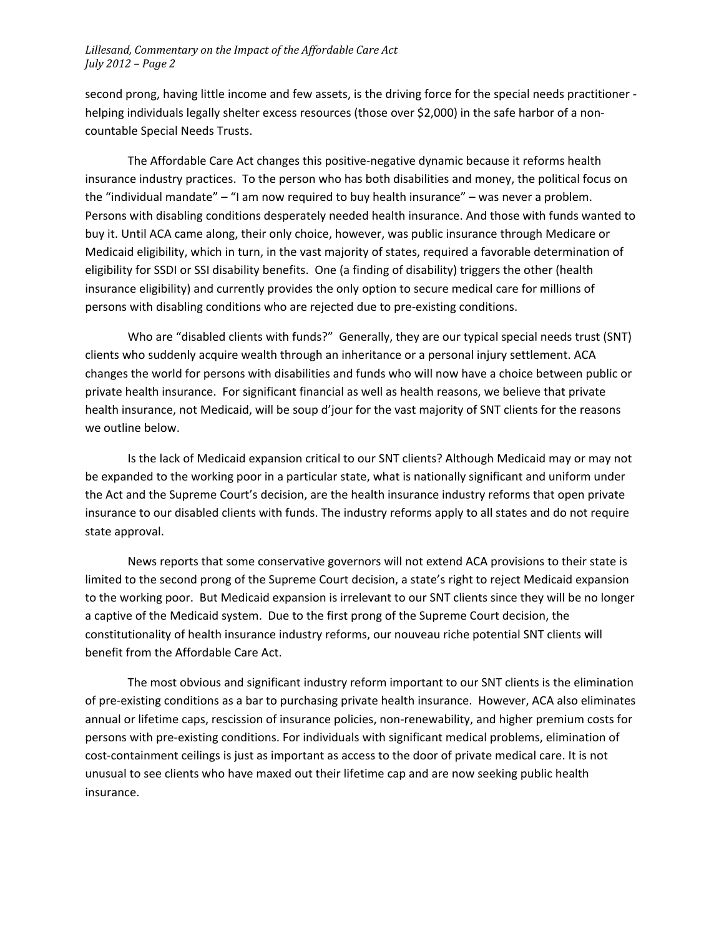second prong, having little income and few assets, is the driving force for the special needs practitioner ‐ helping individuals legally shelter excess resources (those over \$2,000) in the safe harbor of a noncountable Special Needs Trusts.

The Affordable Care Act changes this positive‐negative dynamic because it reforms health insurance industry practices. To the person who has both disabilities and money, the political focus on the "individual mandate" – "I am now required to buy health insurance" – was never a problem. Persons with disabling conditions desperately needed health insurance. And those with funds wanted to buy it. Until ACA came along, their only choice, however, was public insurance through Medicare or Medicaid eligibility, which in turn, in the vast majority of states, required a favorable determination of eligibility for SSDI or SSI disability benefits. One (a finding of disability) triggers the other (health insurance eligibility) and currently provides the only option to secure medical care for millions of persons with disabling conditions who are rejected due to pre‐existing conditions.

Who are "disabled clients with funds?" Generally, they are our typical special needs trust (SNT) clients who suddenly acquire wealth through an inheritance or a personal injury settlement. ACA changes the world for persons with disabilities and funds who will now have a choice between public or private health insurance. For significant financial as well as health reasons, we believe that private health insurance, not Medicaid, will be soup d'jour for the vast majority of SNT clients for the reasons we outline below.

Is the lack of Medicaid expansion critical to our SNT clients? Although Medicaid may or may not be expanded to the working poor in a particular state, what is nationally significant and uniform under the Act and the Supreme Court's decision, are the health insurance industry reforms that open private insurance to our disabled clients with funds. The industry reforms apply to all states and do not require state approval.

News reports that some conservative governors will not extend ACA provisions to their state is limited to the second prong of the Supreme Court decision, a state's right to reject Medicaid expansion to the working poor. But Medicaid expansion is irrelevant to our SNT clients since they will be no longer a captive of the Medicaid system. Due to the first prong of the Supreme Court decision, the constitutionality of health insurance industry reforms, our nouveau riche potential SNT clients will benefit from the Affordable Care Act.

The most obvious and significant industry reform important to our SNT clients is the elimination of pre‐existing conditions as a bar to purchasing private health insurance. However, ACA also eliminates annual or lifetime caps, rescission of insurance policies, non‐renewability, and higher premium costs for persons with pre‐existing conditions. For individuals with significant medical problems, elimination of cost-containment ceilings is just as important as access to the door of private medical care. It is not unusual to see clients who have maxed out their lifetime cap and are now seeking public health insurance.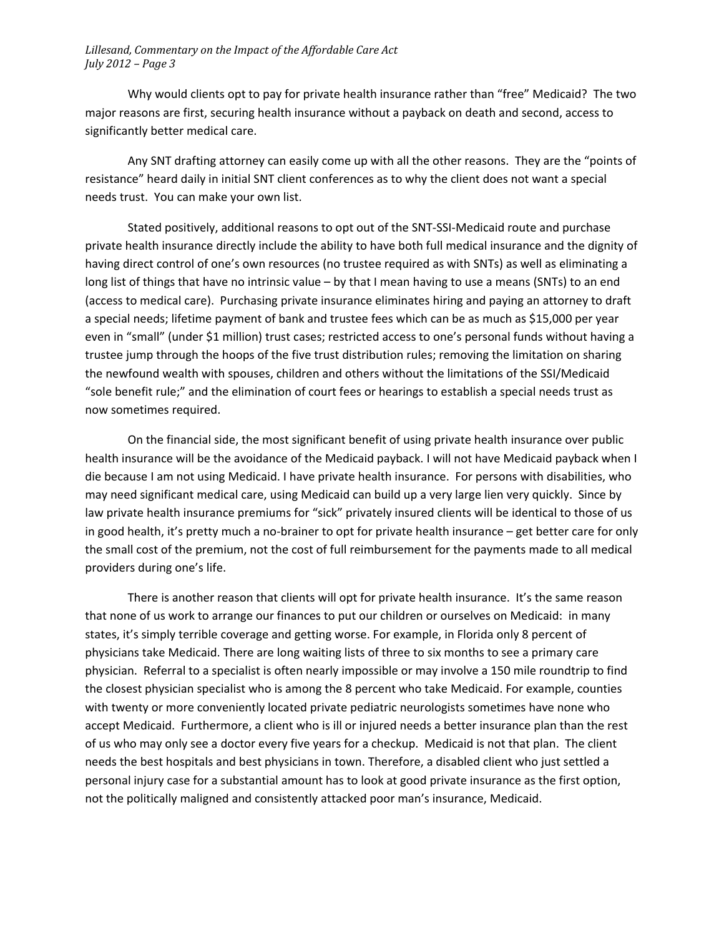Why would clients opt to pay for private health insurance rather than "free" Medicaid? The two major reasons are first, securing health insurance without a payback on death and second, access to significantly better medical care.

Any SNT drafting attorney can easily come up with all the other reasons. They are the "points of resistance" heard daily in initial SNT client conferences as to why the client does not want a special needs trust. You can make your own list.

Stated positively, additional reasons to opt out of the SNT‐SSI‐Medicaid route and purchase private health insurance directly include the ability to have both full medical insurance and the dignity of having direct control of one's own resources (no trustee required as with SNTs) as well as eliminating a long list of things that have no intrinsic value – by that I mean having to use a means (SNTs) to an end (access to medical care). Purchasing private insurance eliminates hiring and paying an attorney to draft a special needs; lifetime payment of bank and trustee fees which can be as much as \$15,000 per year even in "small" (under \$1 million) trust cases; restricted access to one's personal funds without having a trustee jump through the hoops of the five trust distribution rules; removing the limitation on sharing the newfound wealth with spouses, children and others without the limitations of the SSI/Medicaid "sole benefit rule;" and the elimination of court fees or hearings to establish a special needs trust as now sometimes required.

On the financial side, the most significant benefit of using private health insurance over public health insurance will be the avoidance of the Medicaid payback. I will not have Medicaid payback when I die because I am not using Medicaid. I have private health insurance. For persons with disabilities, who may need significant medical care, using Medicaid can build up a very large lien very quickly. Since by law private health insurance premiums for "sick" privately insured clients will be identical to those of us in good health, it's pretty much a no‐brainer to opt for private health insurance – get better care for only the small cost of the premium, not the cost of full reimbursement for the payments made to all medical providers during one's life.

There is another reason that clients will opt for private health insurance. It's the same reason that none of us work to arrange our finances to put our children or ourselves on Medicaid: in many states, it's simply terrible coverage and getting worse. For example, in Florida only 8 percent of physicians take Medicaid. There are long waiting lists of three to six months to see a primary care physician. Referral to a specialist is often nearly impossible or may involve a 150 mile roundtrip to find the closest physician specialist who is among the 8 percent who take Medicaid. For example, counties with twenty or more conveniently located private pediatric neurologists sometimes have none who accept Medicaid. Furthermore, a client who is ill or injured needs a better insurance plan than the rest of us who may only see a doctor every five years for a checkup. Medicaid is not that plan. The client needs the best hospitals and best physicians in town. Therefore, a disabled client who just settled a personal injury case for a substantial amount has to look at good private insurance as the first option, not the politically maligned and consistently attacked poor man's insurance, Medicaid.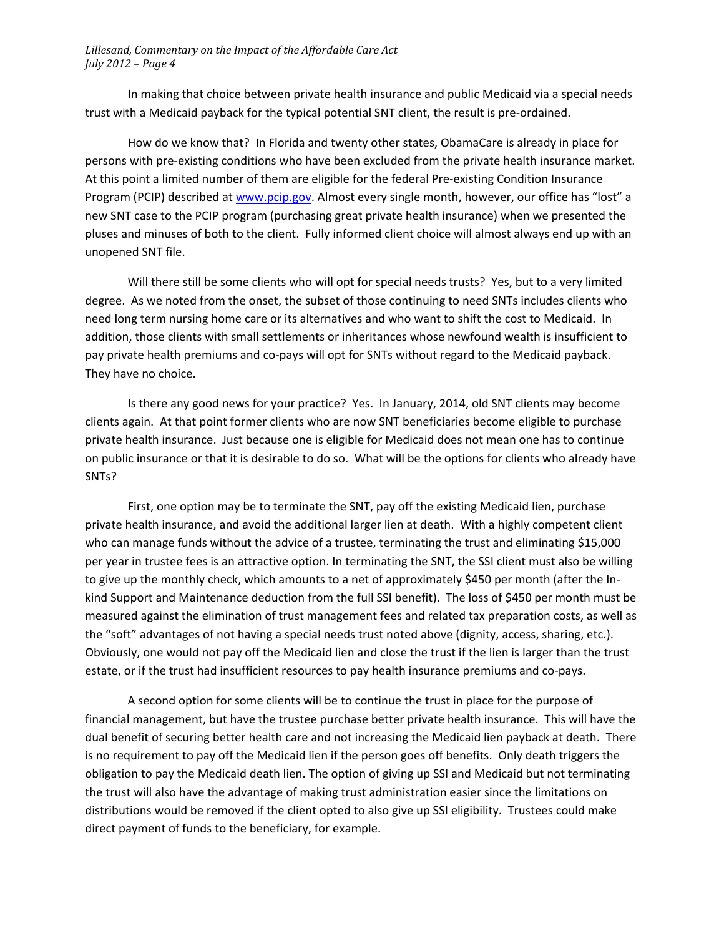In making that choice between private health insurance and public Medicaid via a special needs trust with a Medicaid payback for the typical potential SNT client, the result is pre‐ordained.

How do we know that? In Florida and twenty other states, ObamaCare is already in place for persons with pre‐existing conditions who have been excluded from the private health insurance market. At this point a limited number of them are eligible for the federal Pre‐existing Condition Insurance Program (PCIP) described at www.pcip.gov. Almost every single month, however, our office has "lost" a new SNT case to the PCIP program (purchasing great private health insurance) when we presented the pluses and minuses of both to the client. Fully informed client choice will almost always end up with an unopened SNT file.

Will there still be some clients who will opt for special needs trusts? Yes, but to a very limited degree. As we noted from the onset, the subset of those continuing to need SNTs includes clients who need long term nursing home care or its alternatives and who want to shift the cost to Medicaid. In addition, those clients with small settlements or inheritances whose newfound wealth is insufficient to pay private health premiums and co‐pays will opt for SNTs without regard to the Medicaid payback. They have no choice.

Is there any good news for your practice? Yes. In January, 2014, old SNT clients may become clients again. At that point former clients who are now SNT beneficiaries become eligible to purchase private health insurance. Just because one is eligible for Medicaid does not mean one has to continue on public insurance or that it is desirable to do so. What will be the options for clients who already have SNTs?

First, one option may be to terminate the SNT, pay off the existing Medicaid lien, purchase private health insurance, and avoid the additional larger lien at death. With a highly competent client who can manage funds without the advice of a trustee, terminating the trust and eliminating \$15,000 per year in trustee fees is an attractive option. In terminating the SNT, the SSI client must also be willing to give up the monthly check, which amounts to a net of approximately \$450 per month (after the In‐ kind Support and Maintenance deduction from the full SSI benefit). The loss of \$450 per month must be measured against the elimination of trust management fees and related tax preparation costs, as well as the "soft" advantages of not having a special needs trust noted above (dignity, access, sharing, etc.). Obviously, one would not pay off the Medicaid lien and close the trust if the lien is larger than the trust estate, or if the trust had insufficient resources to pay health insurance premiums and co-pays.

A second option for some clients will be to continue the trust in place for the purpose of financial management, but have the trustee purchase better private health insurance. This will have the dual benefit of securing better health care and not increasing the Medicaid lien payback at death. There is no requirement to pay off the Medicaid lien if the person goes off benefits. Only death triggers the obligation to pay the Medicaid death lien. The option of giving up SSI and Medicaid but not terminating the trust will also have the advantage of making trust administration easier since the limitations on distributions would be removed if the client opted to also give up SSI eligibility. Trustees could make direct payment of funds to the beneficiary, for example.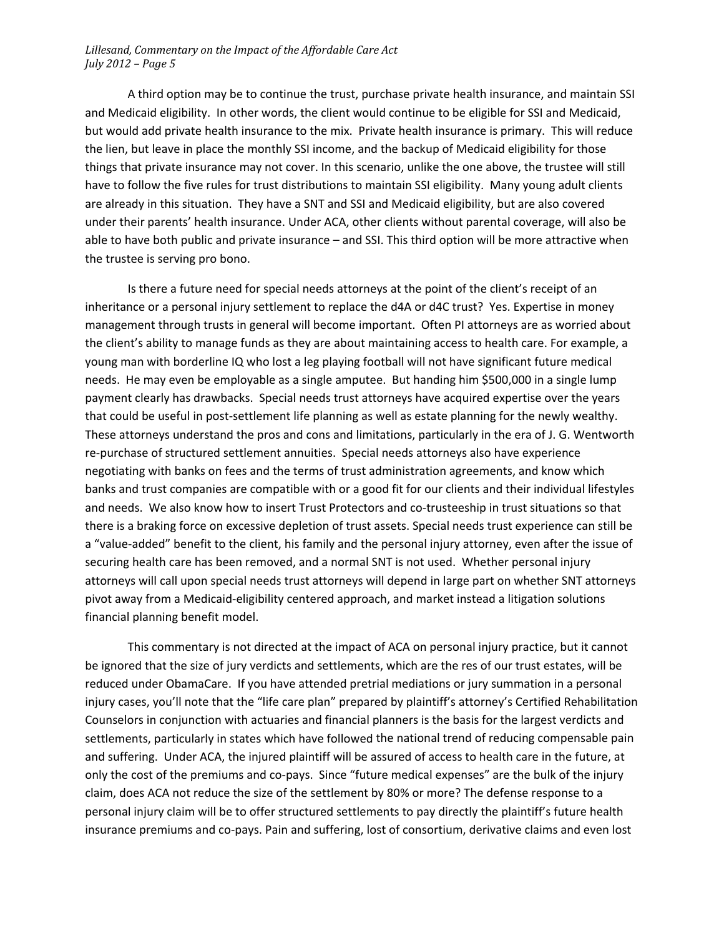A third option may be to continue the trust, purchase private health insurance, and maintain SSI and Medicaid eligibility. In other words, the client would continue to be eligible for SSI and Medicaid, but would add private health insurance to the mix. Private health insurance is primary. This will reduce the lien, but leave in place the monthly SSI income, and the backup of Medicaid eligibility for those things that private insurance may not cover. In this scenario, unlike the one above, the trustee will still have to follow the five rules for trust distributions to maintain SSI eligibility. Many young adult clients are already in this situation. They have a SNT and SSI and Medicaid eligibility, but are also covered under their parents' health insurance. Under ACA, other clients without parental coverage, will also be able to have both public and private insurance – and SSI. This third option will be more attractive when the trustee is serving pro bono.

Is there a future need for special needs attorneys at the point of the client's receipt of an inheritance or a personal injury settlement to replace the d4A or d4C trust? Yes. Expertise in money management through trusts in general will become important. Often PI attorneys are as worried about the client's ability to manage funds as they are about maintaining access to health care. For example, a young man with borderline IQ who lost a leg playing football will not have significant future medical needs. He may even be employable as a single amputee. But handing him \$500,000 in a single lump payment clearly has drawbacks. Special needs trust attorneys have acquired expertise over the years that could be useful in post-settlement life planning as well as estate planning for the newly wealthy. These attorneys understand the pros and cons and limitations, particularly in the era of J. G. Wentworth re-purchase of structured settlement annuities. Special needs attorneys also have experience negotiating with banks on fees and the terms of trust administration agreements, and know which banks and trust companies are compatible with or a good fit for our clients and their individual lifestyles and needs. We also know how to insert Trust Protectors and co-trusteeship in trust situations so that there is a braking force on excessive depletion of trust assets. Special needs trust experience can still be a "value‐added" benefit to the client, his family and the personal injury attorney, even after the issue of securing health care has been removed, and a normal SNT is not used. Whether personal injury attorneys will call upon special needs trust attorneys will depend in large part on whether SNT attorneys pivot away from a Medicaid‐eligibility centered approach, and market instead a litigation solutions financial planning benefit model.

This commentary is not directed at the impact of ACA on personal injury practice, but it cannot be ignored that the size of jury verdicts and settlements, which are the res of our trust estates, will be reduced under ObamaCare. If you have attended pretrial mediations or jury summation in a personal injury cases, you'll note that the "life care plan" prepared by plaintiff's attorney's Certified Rehabilitation Counselors in conjunction with actuaries and financial planners is the basis for the largest verdicts and settlements, particularly in states which have followed the national trend of reducing compensable pain and suffering. Under ACA, the injured plaintiff will be assured of access to health care in the future, at only the cost of the premiums and co-pays. Since "future medical expenses" are the bulk of the injury claim, does ACA not reduce the size of the settlement by 80% or more? The defense response to a personal injury claim will be to offer structured settlements to pay directly the plaintiff's future health insurance premiums and co‐pays. Pain and suffering, lost of consortium, derivative claims and even lost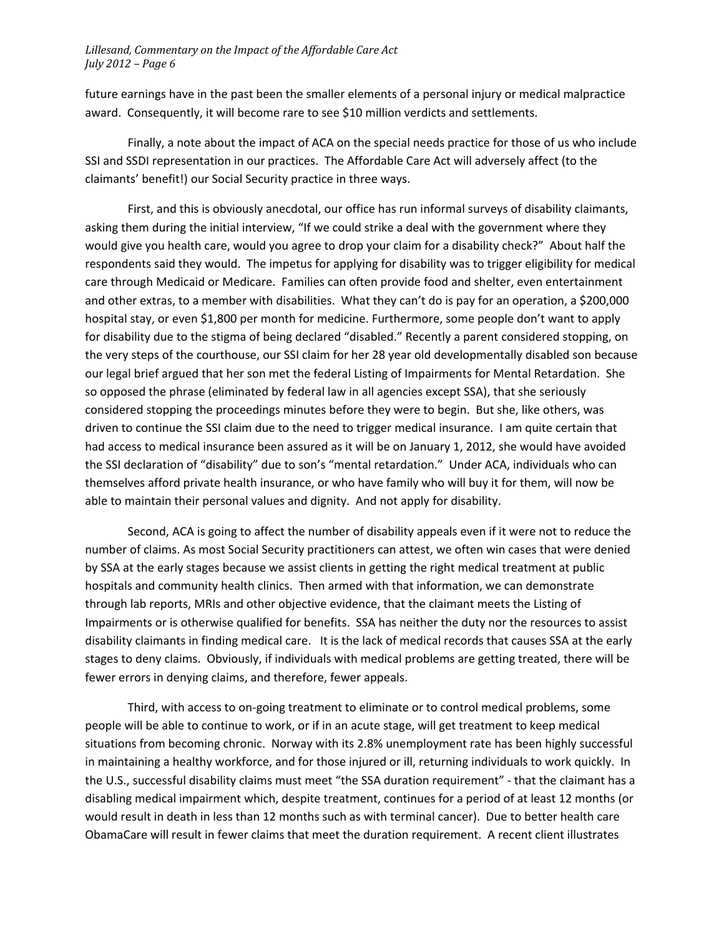future earnings have in the past been the smaller elements of a personal injury or medical malpractice award. Consequently, it will become rare to see \$10 million verdicts and settlements.

Finally, a note about the impact of ACA on the special needs practice for those of us who include SSI and SSDI representation in our practices. The Affordable Care Act will adversely affect (to the claimants' benefit!) our Social Security practice in three ways.

First, and this is obviously anecdotal, our office has run informal surveys of disability claimants, asking them during the initial interview, "If we could strike a deal with the government where they would give you health care, would you agree to drop your claim for a disability check?" About half the respondents said they would. The impetus for applying for disability was to trigger eligibility for medical care through Medicaid or Medicare. Families can often provide food and shelter, even entertainment and other extras, to a member with disabilities. What they can't do is pay for an operation, a \$200,000 hospital stay, or even \$1,800 per month for medicine. Furthermore, some people don't want to apply for disability due to the stigma of being declared "disabled." Recently a parent considered stopping, on the very steps of the courthouse, our SSI claim for her 28 year old developmentally disabled son because our legal brief argued that her son met the federal Listing of Impairments for Mental Retardation. She so opposed the phrase (eliminated by federal law in all agencies except SSA), that she seriously considered stopping the proceedings minutes before they were to begin. But she, like others, was driven to continue the SSI claim due to the need to trigger medical insurance. I am quite certain that had access to medical insurance been assured as it will be on January 1, 2012, she would have avoided the SSI declaration of "disability" due to son's "mental retardation." Under ACA, individuals who can themselves afford private health insurance, or who have family who will buy it for them, will now be able to maintain their personal values and dignity. And not apply for disability.

Second, ACA is going to affect the number of disability appeals even if it were not to reduce the number of claims. As most Social Security practitioners can attest, we often win cases that were denied by SSA at the early stages because we assist clients in getting the right medical treatment at public hospitals and community health clinics. Then armed with that information, we can demonstrate through lab reports, MRIs and other objective evidence, that the claimant meets the Listing of Impairments or is otherwise qualified for benefits. SSA has neither the duty nor the resources to assist disability claimants in finding medical care. It is the lack of medical records that causes SSA at the early stages to deny claims. Obviously, if individuals with medical problems are getting treated, there will be fewer errors in denying claims, and therefore, fewer appeals.

Third, with access to on‐going treatment to eliminate or to control medical problems, some people will be able to continue to work, or if in an acute stage, will get treatment to keep medical situations from becoming chronic. Norway with its 2.8% unemployment rate has been highly successful in maintaining a healthy workforce, and for those injured or ill, returning individuals to work quickly. In the U.S., successful disability claims must meet "the SSA duration requirement" ‐ that the claimant has a disabling medical impairment which, despite treatment, continues for a period of at least 12 months (or would result in death in less than 12 months such as with terminal cancer). Due to better health care ObamaCare will result in fewer claims that meet the duration requirement. A recent client illustrates